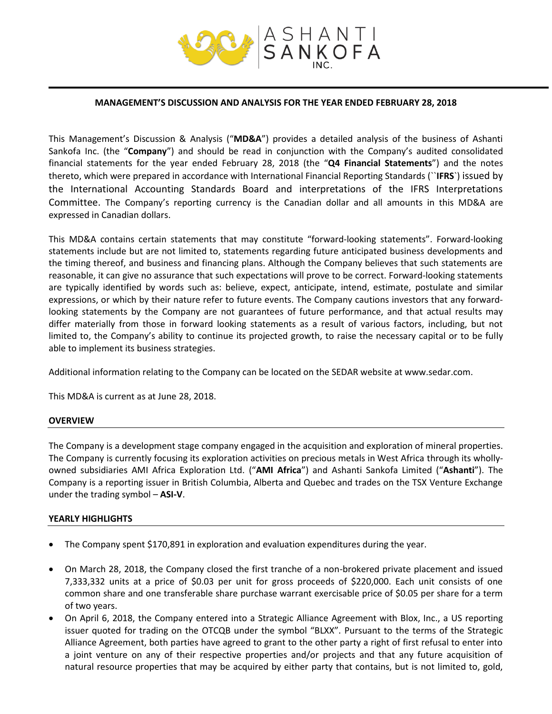

#### **MANAGEMENT'S DISCUSSION AND ANALYSIS FOR THE YEAR ENDED FEBRUARY 28, 2018**

This Management's Discussion & Analysis ("**MD&A**") provides a detailed analysis of the business of Ashanti Sankofa Inc. (the "**Company**") and should be read in conjunction with the Company's audited consolidated financial statements for the year ended February 28, 2018 (the "**Q4 Financial Statements**") and the notes thereto, which were prepared in accordance with International Financial Reporting Standards (``**IFRS**`) issued by the International Accounting Standards Board and interpretations of the IFRS Interpretations Committee. The Company's reporting currency is the Canadian dollar and all amounts in this MD&A are expressed in Canadian dollars.

This MD&A contains certain statements that may constitute "forward‐looking statements". Forward‐looking statements include but are not limited to, statements regarding future anticipated business developments and the timing thereof, and business and financing plans. Although the Company believes that such statements are reasonable, it can give no assurance that such expectations will prove to be correct. Forward‐looking statements are typically identified by words such as: believe, expect, anticipate, intend, estimate, postulate and similar expressions, or which by their nature refer to future events. The Company cautions investors that any forward‐ looking statements by the Company are not guarantees of future performance, and that actual results may differ materially from those in forward looking statements as a result of various factors, including, but not limited to, the Company's ability to continue its projected growth, to raise the necessary capital or to be fully able to implement its business strategies.

Additional information relating to the Company can be located on the SEDAR website at www.sedar.com.

This MD&A is current as at June 28, 2018.

#### **OVERVIEW**

The Company is a development stage company engaged in the acquisition and exploration of mineral properties. The Company is currently focusing its exploration activities on precious metals in West Africa through its whollyowned subsidiaries AMI Africa Exploration Ltd. ("**AMI Africa**") and Ashanti Sankofa Limited ("**Ashanti**"). The Company is a reporting issuer in British Columbia, Alberta and Quebec and trades on the TSX Venture Exchange under the trading symbol – **ASI-V**.

#### **YEARLY HIGHLIGHTS**

- The Company spent \$170,891 in exploration and evaluation expenditures during the year.
- On March 28, 2018, the Company closed the first tranche of a non-brokered private placement and issued 7,333,332 units at a price of \$0.03 per unit for gross proceeds of \$220,000. Each unit consists of one common share and one transferable share purchase warrant exercisable price of \$0.05 per share for a term of two years.
- On April 6, 2018, the Company entered into a Strategic Alliance Agreement with Blox, Inc., a US reporting issuer quoted for trading on the OTCQB under the symbol "BLXX". Pursuant to the terms of the Strategic Alliance Agreement, both parties have agreed to grant to the other party a right of first refusal to enter into a joint venture on any of their respective properties and/or projects and that any future acquisition of natural resource properties that may be acquired by either party that contains, but is not limited to, gold,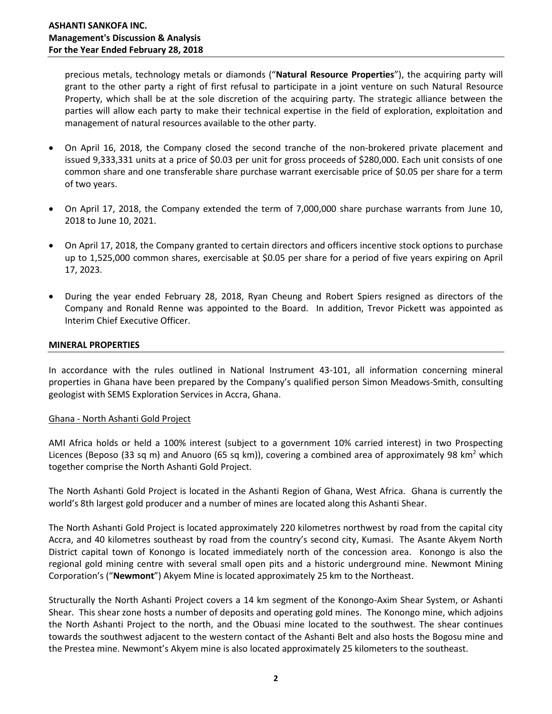precious metals, technology metals or diamonds ("**Natural Resource Properties**"), the acquiring party will grant to the other party a right of first refusal to participate in a joint venture on such Natural Resource Property, which shall be at the sole discretion of the acquiring party. The strategic alliance between the parties will allow each party to make their technical expertise in the field of exploration, exploitation and management of natural resources available to the other party.

- On April 16, 2018, the Company closed the second tranche of the non-brokered private placement and issued 9,333,331 units at a price of \$0.03 per unit for gross proceeds of \$280,000. Each unit consists of one common share and one transferable share purchase warrant exercisable price of \$0.05 per share for a term of two years.
- On April 17, 2018, the Company extended the term of 7,000,000 share purchase warrants from June 10, 2018 to June 10, 2021.
- On April 17, 2018, the Company granted to certain directors and officers incentive stock options to purchase up to 1,525,000 common shares, exercisable at \$0.05 per share for a period of five years expiring on April 17, 2023.
- During the year ended February 28, 2018, Ryan Cheung and Robert Spiers resigned as directors of the Company and Ronald Renne was appointed to the Board. In addition, Trevor Pickett was appointed as Interim Chief Executive Officer.

### **MINERAL PROPERTIES**

In accordance with the rules outlined in National Instrument 43-101, all information concerning mineral properties in Ghana have been prepared by the Company's qualified person Simon Meadows-Smith, consulting geologist with SEMS Exploration Services in Accra, Ghana.

#### Ghana - North Ashanti Gold Project

AMI Africa holds or held a 100% interest (subject to a government 10% carried interest) in two Prospecting Licences (Beposo (33 sq m) and Anuoro (65 sq km)), covering a combined area of approximately 98 km<sup>2</sup> which together comprise the North Ashanti Gold Project.

The North Ashanti Gold Project is located in the Ashanti Region of Ghana, West Africa. Ghana is currently the world's 8th largest gold producer and a number of mines are located along this Ashanti Shear.

The North Ashanti Gold Project is located approximately 220 kilometres northwest by road from the capital city Accra, and 40 kilometres southeast by road from the country's second city, Kumasi. The Asante Akyem North District capital town of Konongo is located immediately north of the concession area. Konongo is also the regional gold mining centre with several small open pits and a historic underground mine. Newmont Mining Corporation's ("**Newmont**") Akyem Mine is located approximately 25 km to the Northeast.

Structurally the North Ashanti Project covers a 14 km segment of the Konongo-Axim Shear System, or Ashanti Shear. This shear zone hosts a number of deposits and operating gold mines. The Konongo mine, which adjoins the North Ashanti Project to the north, and the Obuasi mine located to the southwest. The shear continues towards the southwest adjacent to the western contact of the Ashanti Belt and also hosts the Bogosu mine and the Prestea mine. Newmont's Akyem mine is also located approximately 25 kilometers to the southeast.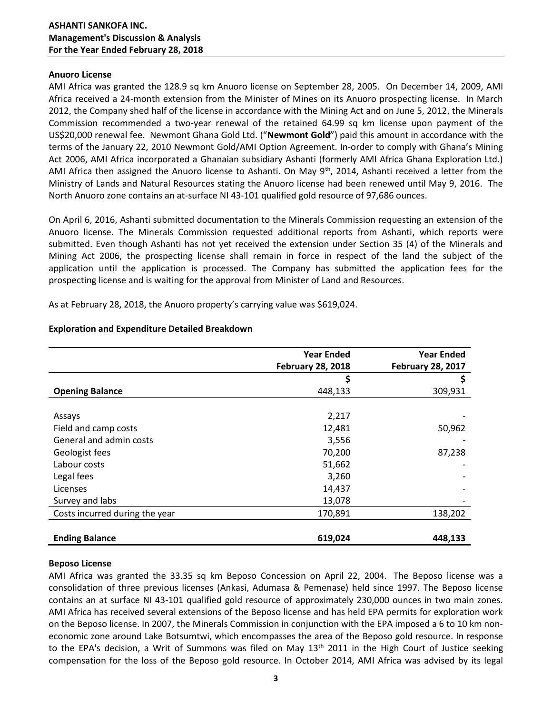## **Anuoro License**

AMI Africa was granted the 128.9 sq km Anuoro license on September 28, 2005. On December 14, 2009, AMI Africa received a 24-month extension from the Minister of Mines on its Anuoro prospecting license. In March 2012, the Company shed half of the license in accordance with the Mining Act and on June 5, 2012, the Minerals Commission recommended a two-year renewal of the retained 64.99 sq km license upon payment of the US\$20,000 renewal fee. Newmont Ghana Gold Ltd. ("**Newmont Gold**") paid this amount in accordance with the terms of the January 22, 2010 Newmont Gold/AMI Option Agreement. In-order to comply with Ghana's Mining Act 2006, AMI Africa incorporated a Ghanaian subsidiary Ashanti (formerly AMI Africa Ghana Exploration Ltd.) AMI Africa then assigned the Anuoro license to Ashanti. On May  $9<sup>th</sup>$ , 2014, Ashanti received a letter from the Ministry of Lands and Natural Resources stating the Anuoro license had been renewed until May 9, 2016. The North Anuoro zone contains an at-surface NI 43-101 qualified gold resource of 97,686 ounces.

On April 6, 2016, Ashanti submitted documentation to the Minerals Commission requesting an extension of the Anuoro license. The Minerals Commission requested additional reports from Ashanti, which reports were submitted. Even though Ashanti has not yet received the extension under Section 35 (4) of the Minerals and Mining Act 2006, the prospecting license shall remain in force in respect of the land the subject of the application until the application is processed. The Company has submitted the application fees for the prospecting license and is waiting for the approval from Minister of Land and Resources.

As at February 28, 2018, the Anuoro property's carrying value was \$619,024.

|                                | <b>Year Ended</b>        | <b>Year Ended</b>        |
|--------------------------------|--------------------------|--------------------------|
|                                | <b>February 28, 2018</b> | <b>February 28, 2017</b> |
|                                | \$                       | S                        |
| <b>Opening Balance</b>         | 448,133                  | 309,931                  |
|                                |                          |                          |
| Assays                         | 2,217                    |                          |
| Field and camp costs           | 12,481                   | 50,962                   |
| General and admin costs        | 3,556                    |                          |
| Geologist fees                 | 70,200                   | 87,238                   |
| Labour costs                   | 51,662                   |                          |
| Legal fees                     | 3,260                    |                          |
| Licenses                       | 14,437                   |                          |
| Survey and labs                | 13,078                   |                          |
| Costs incurred during the year | 170,891                  | 138,202                  |
|                                |                          |                          |
| <b>Ending Balance</b>          | 619,024                  | 448,133                  |

# **Exploration and Expenditure Detailed Breakdown**

# **Beposo License**

AMI Africa was granted the 33.35 sq km Beposo Concession on April 22, 2004. The Beposo license was a consolidation of three previous licenses (Ankasi, Adumasa & Pemenase) held since 1997. The Beposo license contains an at surface NI 43-101 qualified gold resource of approximately 230,000 ounces in two main zones. AMI Africa has received several extensions of the Beposo license and has held EPA permits for exploration work on the Beposo license. In 2007, the Minerals Commission in conjunction with the EPA imposed a 6 to 10 km noneconomic zone around Lake Botsumtwi, which encompasses the area of the Beposo gold resource. In response to the EPA's decision, a Writ of Summons was filed on May 13<sup>th</sup> 2011 in the High Court of Justice seeking compensation for the loss of the Beposo gold resource. In October 2014, AMI Africa was advised by its legal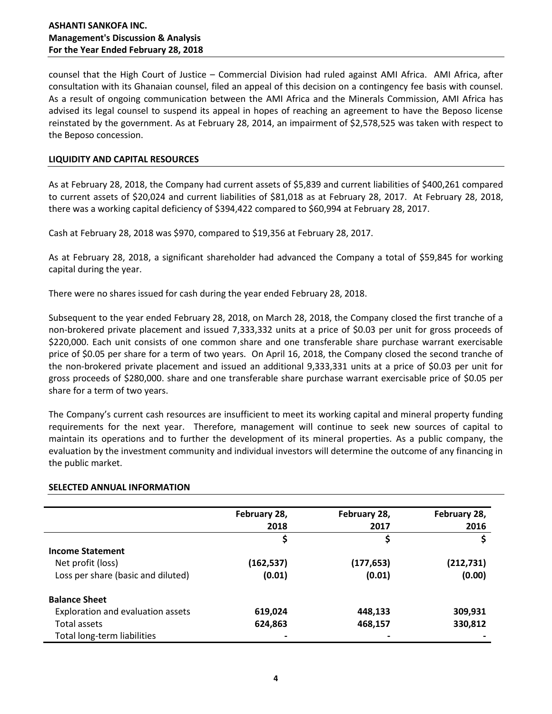# **ASHANTI SANKOFA INC. Management's Discussion & Analysis For the Year Ended February 28, 2018**

counsel that the High Court of Justice – Commercial Division had ruled against AMI Africa. AMI Africa, after consultation with its Ghanaian counsel, filed an appeal of this decision on a contingency fee basis with counsel. As a result of ongoing communication between the AMI Africa and the Minerals Commission, AMI Africa has advised its legal counsel to suspend its appeal in hopes of reaching an agreement to have the Beposo license reinstated by the government. As at February 28, 2014, an impairment of \$2,578,525 was taken with respect to the Beposo concession.

## **LIQUIDITY AND CAPITAL RESOURCES**

As at February 28, 2018, the Company had current assets of \$5,839 and current liabilities of \$400,261 compared to current assets of \$20,024 and current liabilities of \$81,018 as at February 28, 2017. At February 28, 2018, there was a working capital deficiency of \$394,422 compared to \$60,994 at February 28, 2017.

Cash at February 28, 2018 was \$970, compared to \$19,356 at February 28, 2017.

As at February 28, 2018, a significant shareholder had advanced the Company a total of \$59,845 for working capital during the year.

There were no shares issued for cash during the year ended February 28, 2018.

Subsequent to the year ended February 28, 2018, on March 28, 2018, the Company closed the first tranche of a non-brokered private placement and issued 7,333,332 units at a price of \$0.03 per unit for gross proceeds of \$220,000. Each unit consists of one common share and one transferable share purchase warrant exercisable price of \$0.05 per share for a term of two years. On April 16, 2018, the Company closed the second tranche of the non-brokered private placement and issued an additional 9,333,331 units at a price of \$0.03 per unit for gross proceeds of \$280,000. share and one transferable share purchase warrant exercisable price of \$0.05 per share for a term of two years.

The Company's current cash resources are insufficient to meet its working capital and mineral property funding requirements for the next year. Therefore, management will continue to seek new sources of capital to maintain its operations and to further the development of its mineral properties. As a public company, the evaluation by the investment community and individual investors will determine the outcome of any financing in the public market.

#### **SELECTED ANNUAL INFORMATION**

|                                    | February 28, | February 28, | February 28, |
|------------------------------------|--------------|--------------|--------------|
|                                    | 2018         | 2017         | 2016         |
|                                    |              | Ş            | \$           |
| <b>Income Statement</b>            |              |              |              |
| Net profit (loss)                  | (162, 537)   | (177, 653)   | (212, 731)   |
| Loss per share (basic and diluted) | (0.01)       | (0.01)       | (0.00)       |
| <b>Balance Sheet</b>               |              |              |              |
| Exploration and evaluation assets  | 619,024      | 448,133      | 309,931      |
| Total assets                       | 624,863      | 468,157      | 330,812      |
| Total long-term liabilities        |              |              |              |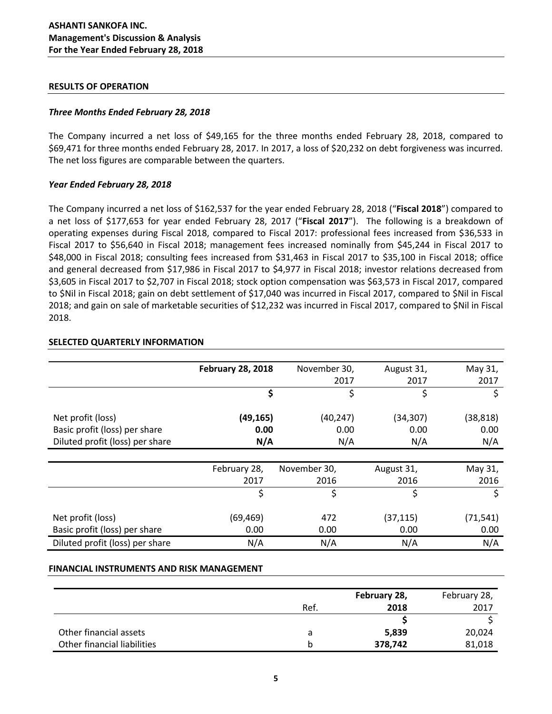### **RESULTS OF OPERATION**

## *Three Months Ended February 28, 2018*

The Company incurred a net loss of \$49,165 for the three months ended February 28, 2018, compared to \$69,471 for three months ended February 28, 2017. In 2017, a loss of \$20,232 on debt forgiveness was incurred. The net loss figures are comparable between the quarters.

### *Year Ended February 28, 2018*

The Company incurred a net loss of \$162,537 for the year ended February 28, 2018 ("**Fiscal 2018**") compared to a net loss of \$177,653 for year ended February 28, 2017 ("**Fiscal 2017**"). The following is a breakdown of operating expenses during Fiscal 2018, compared to Fiscal 2017: professional fees increased from \$36,533 in Fiscal 2017 to \$56,640 in Fiscal 2018; management fees increased nominally from \$45,244 in Fiscal 2017 to \$48,000 in Fiscal 2018; consulting fees increased from \$31,463 in Fiscal 2017 to \$35,100 in Fiscal 2018; office and general decreased from \$17,986 in Fiscal 2017 to \$4,977 in Fiscal 2018; investor relations decreased from \$3,605 in Fiscal 2017 to \$2,707 in Fiscal 2018; stock option compensation was \$63,573 in Fiscal 2017, compared to \$Nil in Fiscal 2018; gain on debt settlement of \$17,040 was incurred in Fiscal 2017, compared to \$Nil in Fiscal 2018; and gain on sale of marketable securities of \$12,232 was incurred in Fiscal 2017, compared to \$Nil in Fiscal 2018.

|                                 | <b>February 28, 2018</b> | November 30, | August 31, | May 31,   |
|---------------------------------|--------------------------|--------------|------------|-----------|
|                                 |                          | 2017         | 2017       | 2017      |
|                                 | \$                       | \$           | \$         | \$        |
| Net profit (loss)               | (49, 165)                | (40, 247)    | (34, 307)  | (38, 818) |
| Basic profit (loss) per share   | 0.00                     | 0.00         | 0.00       | 0.00      |
| Diluted profit (loss) per share | N/A                      | N/A          | N/A        | N/A       |
|                                 |                          |              |            |           |
|                                 | February 28,             | November 30, | August 31, | May 31,   |
|                                 | 2017                     | 2016         | 2016       | 2016      |
|                                 | \$                       | \$           | \$         | \$        |
|                                 |                          |              |            |           |
| Net profit (loss)               | (69,469)                 | 472          | (37, 115)  | (71, 541) |
| Basic profit (loss) per share   | 0.00                     | 0.00         | 0.00       | 0.00      |
| Diluted profit (loss) per share | N/A                      | N/A          | N/A        | N/A       |

### **SELECTED QUARTERLY INFORMATION**

#### **FINANCIAL INSTRUMENTS AND RISK MANAGEMENT**

|                             | February 28, |         | February 28, |
|-----------------------------|--------------|---------|--------------|
|                             | Ref.         | 2018    | 2017         |
|                             |              |         |              |
| Other financial assets      |              | 5,839   | 20,024       |
| Other financial liabilities |              | 378,742 | 81,018       |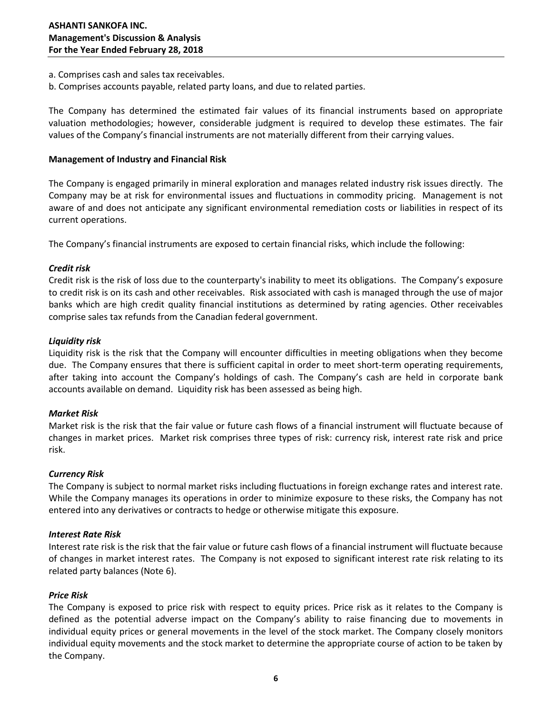- a. Comprises cash and sales tax receivables.
- b. Comprises accounts payable, related party loans, and due to related parties.

The Company has determined the estimated fair values of its financial instruments based on appropriate valuation methodologies; however, considerable judgment is required to develop these estimates. The fair values of the Company's financial instruments are not materially different from their carrying values.

### **Management of Industry and Financial Risk**

The Company is engaged primarily in mineral exploration and manages related industry risk issues directly. The Company may be at risk for environmental issues and fluctuations in commodity pricing. Management is not aware of and does not anticipate any significant environmental remediation costs or liabilities in respect of its current operations.

The Company's financial instruments are exposed to certain financial risks, which include the following:

### *Credit risk*

Credit risk is the risk of loss due to the counterparty's inability to meet its obligations. The Company's exposure to credit risk is on its cash and other receivables. Risk associated with cash is managed through the use of major banks which are high credit quality financial institutions as determined by rating agencies. Other receivables comprise sales tax refunds from the Canadian federal government.

### *Liquidity risk*

Liquidity risk is the risk that the Company will encounter difficulties in meeting obligations when they become due. The Company ensures that there is sufficient capital in order to meet short-term operating requirements, after taking into account the Company's holdings of cash. The Company's cash are held in corporate bank accounts available on demand. Liquidity risk has been assessed as being high.

### *Market Risk*

Market risk is the risk that the fair value or future cash flows of a financial instrument will fluctuate because of changes in market prices. Market risk comprises three types of risk: currency risk, interest rate risk and price risk.

#### *Currency Risk*

The Company is subject to normal market risks including fluctuations in foreign exchange rates and interest rate. While the Company manages its operations in order to minimize exposure to these risks, the Company has not entered into any derivatives or contracts to hedge or otherwise mitigate this exposure.

#### *Interest Rate Risk*

Interest rate risk is the risk that the fair value or future cash flows of a financial instrument will fluctuate because of changes in market interest rates. The Company is not exposed to significant interest rate risk relating to its related party balances (Note 6).

#### *Price Risk*

The Company is exposed to price risk with respect to equity prices. Price risk as it relates to the Company is defined as the potential adverse impact on the Company's ability to raise financing due to movements in individual equity prices or general movements in the level of the stock market. The Company closely monitors individual equity movements and the stock market to determine the appropriate course of action to be taken by the Company.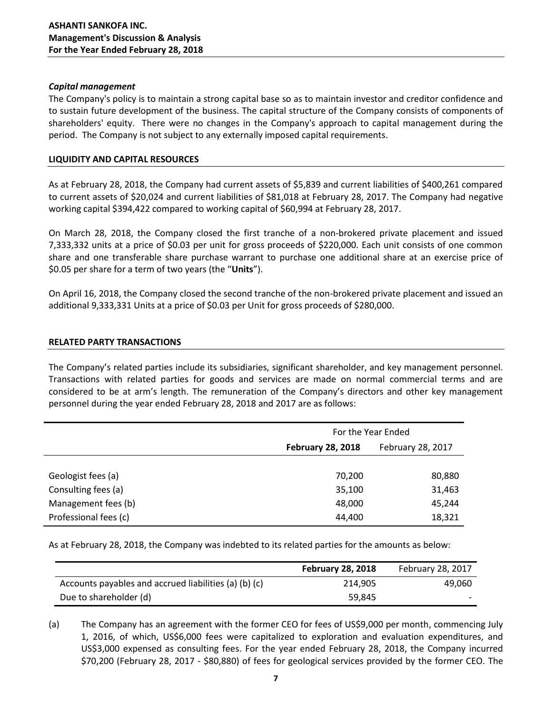## *Capital management*

The Company's policy is to maintain a strong capital base so as to maintain investor and creditor confidence and to sustain future development of the business. The capital structure of the Company consists of components of shareholders' equity. There were no changes in the Company's approach to capital management during the period. The Company is not subject to any externally imposed capital requirements.

## **LIQUIDITY AND CAPITAL RESOURCES**

As at February 28, 2018, the Company had current assets of \$5,839 and current liabilities of \$400,261 compared to current assets of \$20,024 and current liabilities of \$81,018 at February 28, 2017. The Company had negative working capital \$394,422 compared to working capital of \$60,994 at February 28, 2017.

On March 28, 2018, the Company closed the first tranche of a non-brokered private placement and issued 7,333,332 units at a price of \$0.03 per unit for gross proceeds of \$220,000. Each unit consists of one common share and one transferable share purchase warrant to purchase one additional share at an exercise price of \$0.05 per share for a term of two years (the "**Units**").

On April 16, 2018, the Company closed the second tranche of the non-brokered private placement and issued an additional 9,333,331 Units at a price of \$0.03 per Unit for gross proceeds of \$280,000.

### **RELATED PARTY TRANSACTIONS**

The Company's related parties include its subsidiaries, significant shareholder, and key management personnel. Transactions with related parties for goods and services are made on normal commercial terms and are considered to be at arm's length. The remuneration of the Company's directors and other key management personnel during the year ended February 28, 2018 and 2017 are as follows:

|                       | For the Year Ended       |                   |  |
|-----------------------|--------------------------|-------------------|--|
|                       | <b>February 28, 2018</b> | February 28, 2017 |  |
|                       |                          |                   |  |
| Geologist fees (a)    | 70,200                   | 80,880            |  |
| Consulting fees (a)   | 35,100                   | 31,463            |  |
| Management fees (b)   | 48,000                   | 45,244            |  |
| Professional fees (c) | 44,400                   | 18,321            |  |

As at February 28, 2018, the Company was indebted to its related parties for the amounts as below:

|                                                       | <b>February 28, 2018</b> | February 28, 2017        |
|-------------------------------------------------------|--------------------------|--------------------------|
| Accounts payables and accrued liabilities (a) (b) (c) | 214.905                  | 49,060                   |
| Due to shareholder (d)                                | 59,845                   | $\overline{\phantom{0}}$ |

(a) The Company has an agreement with the former CEO for fees of US\$9,000 per month, commencing July 1, 2016, of which, US\$6,000 fees were capitalized to exploration and evaluation expenditures, and US\$3,000 expensed as consulting fees. For the year ended February 28, 2018, the Company incurred \$70,200 (February 28, 2017 - \$80,880) of fees for geological services provided by the former CEO. The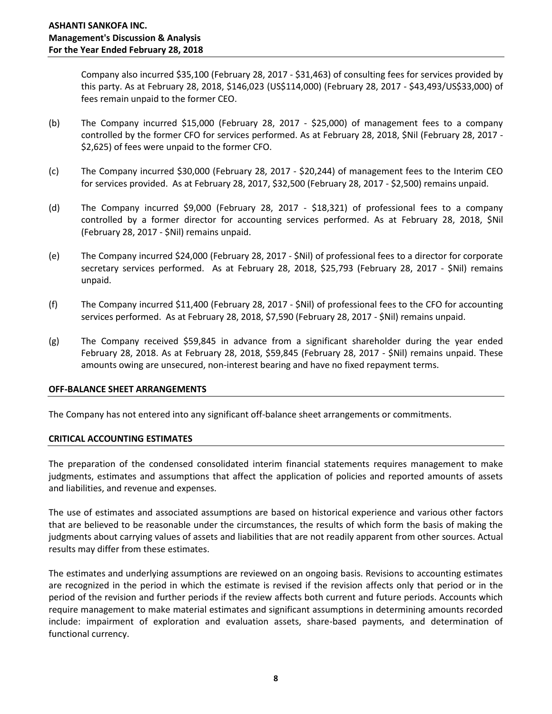Company also incurred \$35,100 (February 28, 2017 - \$31,463) of consulting fees for services provided by this party. As at February 28, 2018, \$146,023 (US\$114,000) (February 28, 2017 - \$43,493/US\$33,000) of fees remain unpaid to the former CEO.

- (b) The Company incurred \$15,000 (February 28, 2017 \$25,000) of management fees to a company controlled by the former CFO for services performed. As at February 28, 2018, \$Nil (February 28, 2017 - \$2,625) of fees were unpaid to the former CFO.
- (c) The Company incurred \$30,000 (February 28, 2017 \$20,244) of management fees to the Interim CEO for services provided. As at February 28, 2017, \$32,500 (February 28, 2017 - \$2,500) remains unpaid.
- (d) The Company incurred \$9,000 (February 28, 2017 \$18,321) of professional fees to a company controlled by a former director for accounting services performed. As at February 28, 2018, \$Nil (February 28, 2017 - \$Nil) remains unpaid.
- (e) The Company incurred \$24,000 (February 28, 2017 \$Nil) of professional fees to a director for corporate secretary services performed. As at February 28, 2018, \$25,793 (February 28, 2017 - \$Nil) remains unpaid.
- (f) The Company incurred \$11,400 (February 28, 2017 \$Nil) of professional fees to the CFO for accounting services performed. As at February 28, 2018, \$7,590 (February 28, 2017 - \$Nil) remains unpaid.
- (g) The Company received \$59,845 in advance from a significant shareholder during the year ended February 28, 2018. As at February 28, 2018, \$59,845 (February 28, 2017 - \$Nil) remains unpaid. These amounts owing are unsecured, non-interest bearing and have no fixed repayment terms.

# **OFF-BALANCE SHEET ARRANGEMENTS**

The Company has not entered into any significant off-balance sheet arrangements or commitments.

#### **CRITICAL ACCOUNTING ESTIMATES**

The preparation of the condensed consolidated interim financial statements requires management to make judgments, estimates and assumptions that affect the application of policies and reported amounts of assets and liabilities, and revenue and expenses.

The use of estimates and associated assumptions are based on historical experience and various other factors that are believed to be reasonable under the circumstances, the results of which form the basis of making the judgments about carrying values of assets and liabilities that are not readily apparent from other sources. Actual results may differ from these estimates.

The estimates and underlying assumptions are reviewed on an ongoing basis. Revisions to accounting estimates are recognized in the period in which the estimate is revised if the revision affects only that period or in the period of the revision and further periods if the review affects both current and future periods. Accounts which require management to make material estimates and significant assumptions in determining amounts recorded include: impairment of exploration and evaluation assets, share-based payments, and determination of functional currency.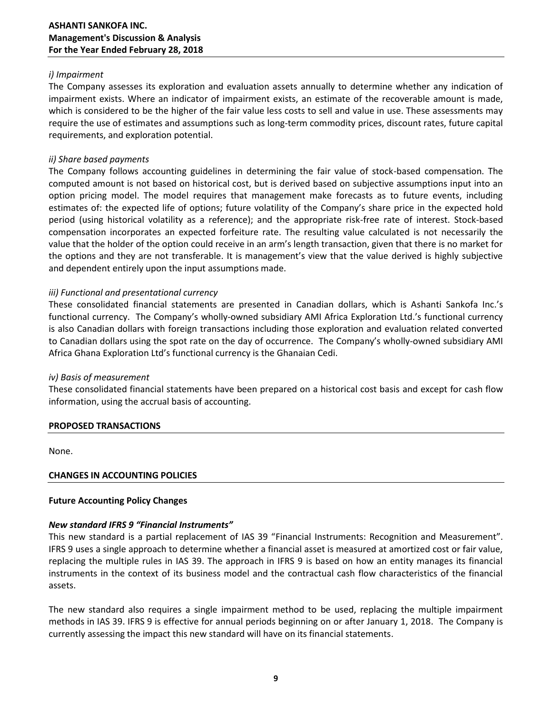# **ASHANTI SANKOFA INC. Management's Discussion & Analysis For the Year Ended February 28, 2018**

# *i) Impairment*

The Company assesses its exploration and evaluation assets annually to determine whether any indication of impairment exists. Where an indicator of impairment exists, an estimate of the recoverable amount is made, which is considered to be the higher of the fair value less costs to sell and value in use. These assessments may require the use of estimates and assumptions such as long-term commodity prices, discount rates, future capital requirements, and exploration potential.

# *ii) Share based payments*

The Company follows accounting guidelines in determining the fair value of stock-based compensation. The computed amount is not based on historical cost, but is derived based on subjective assumptions input into an option pricing model. The model requires that management make forecasts as to future events, including estimates of: the expected life of options; future volatility of the Company's share price in the expected hold period (using historical volatility as a reference); and the appropriate risk-free rate of interest. Stock-based compensation incorporates an expected forfeiture rate. The resulting value calculated is not necessarily the value that the holder of the option could receive in an arm's length transaction, given that there is no market for the options and they are not transferable. It is management's view that the value derived is highly subjective and dependent entirely upon the input assumptions made.

# *iii) Functional and presentational currency*

These consolidated financial statements are presented in Canadian dollars, which is Ashanti Sankofa Inc.'s functional currency. The Company's wholly-owned subsidiary AMI Africa Exploration Ltd.'s functional currency is also Canadian dollars with foreign transactions including those exploration and evaluation related converted to Canadian dollars using the spot rate on the day of occurrence. The Company's wholly-owned subsidiary AMI Africa Ghana Exploration Ltd's functional currency is the Ghanaian Cedi.

# *iv) Basis of measurement*

These consolidated financial statements have been prepared on a historical cost basis and except for cash flow information, using the accrual basis of accounting.

# **PROPOSED TRANSACTIONS**

None.

# **CHANGES IN ACCOUNTING POLICIES**

# **Future Accounting Policy Changes**

# *New standard IFRS 9 "Financial Instruments"*

This new standard is a partial replacement of IAS 39 "Financial Instruments: Recognition and Measurement". IFRS 9 uses a single approach to determine whether a financial asset is measured at amortized cost or fair value, replacing the multiple rules in IAS 39. The approach in IFRS 9 is based on how an entity manages its financial instruments in the context of its business model and the contractual cash flow characteristics of the financial assets.

The new standard also requires a single impairment method to be used, replacing the multiple impairment methods in IAS 39. IFRS 9 is effective for annual periods beginning on or after January 1, 2018. The Company is currently assessing the impact this new standard will have on its financial statements.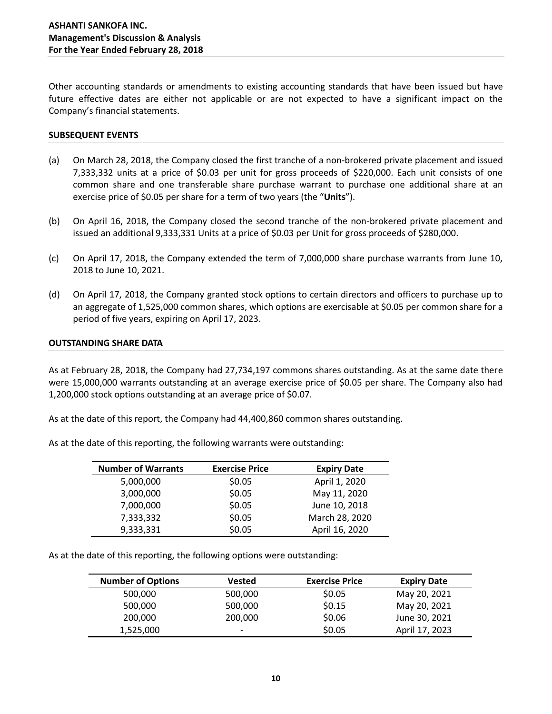Other accounting standards or amendments to existing accounting standards that have been issued but have future effective dates are either not applicable or are not expected to have a significant impact on the Company's financial statements.

#### **SUBSEQUENT EVENTS**

- (a) On March 28, 2018, the Company closed the first tranche of a non-brokered private placement and issued 7,333,332 units at a price of \$0.03 per unit for gross proceeds of \$220,000. Each unit consists of one common share and one transferable share purchase warrant to purchase one additional share at an exercise price of \$0.05 per share for a term of two years (the "**Units**").
- (b) On April 16, 2018, the Company closed the second tranche of the non-brokered private placement and issued an additional 9,333,331 Units at a price of \$0.03 per Unit for gross proceeds of \$280,000.
- (c) On April 17, 2018, the Company extended the term of 7,000,000 share purchase warrants from June 10, 2018 to June 10, 2021.
- (d) On April 17, 2018, the Company granted stock options to certain directors and officers to purchase up to an aggregate of 1,525,000 common shares, which options are exercisable at \$0.05 per common share for a period of five years, expiring on April 17, 2023.

### **OUTSTANDING SHARE DATA**

As at February 28, 2018, the Company had 27,734,197 commons shares outstanding. As at the same date there were 15,000,000 warrants outstanding at an average exercise price of \$0.05 per share. The Company also had 1,200,000 stock options outstanding at an average price of \$0.07.

As at the date of this report, the Company had 44,400,860 common shares outstanding.

| As at the date of this reporting, the following warrants were outstanding: |  |
|----------------------------------------------------------------------------|--|
|----------------------------------------------------------------------------|--|

| <b>Number of Warrants</b> | <b>Exercise Price</b> | <b>Expiry Date</b> |
|---------------------------|-----------------------|--------------------|
| 5,000,000                 | \$0.05                | April 1, 2020      |
| 3,000,000                 | \$0.05                | May 11, 2020       |
| 7,000,000                 | \$0.05                | June 10, 2018      |
| 7,333,332                 | \$0.05                | March 28, 2020     |
| 9,333,331                 | \$0.05                | April 16, 2020     |

As at the date of this reporting, the following options were outstanding:

| <b>Number of Options</b> | <b>Vested</b>            | <b>Exercise Price</b> | <b>Expiry Date</b> |
|--------------------------|--------------------------|-----------------------|--------------------|
| 500,000                  | 500,000                  | \$0.05                | May 20, 2021       |
| 500,000                  | 500,000                  | \$0.15                | May 20, 2021       |
| 200,000                  | 200,000                  | \$0.06                | June 30, 2021      |
| 1,525,000                | $\overline{\phantom{0}}$ | \$0.05                | April 17, 2023     |